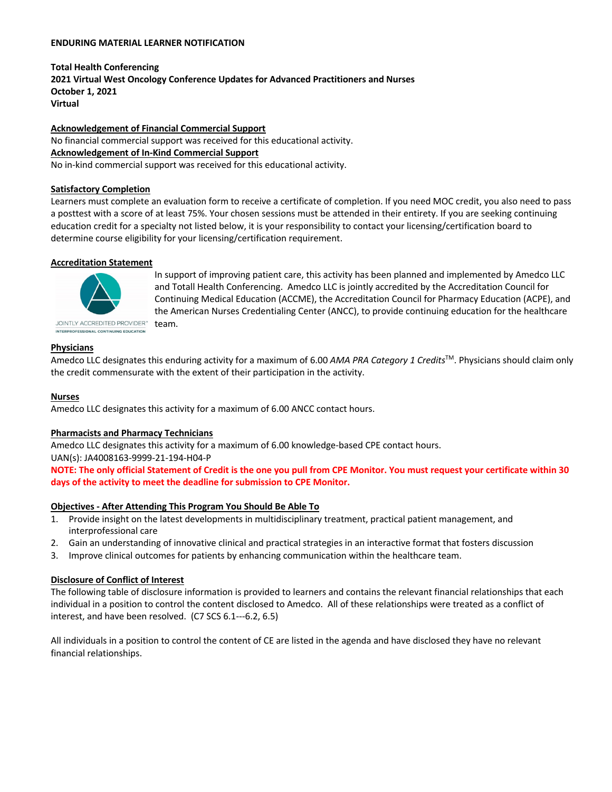#### **ENDURING MATERIAL LEARNER NOTIFICATION**

**Total Health Conferencing 2021 Virtual West Oncology Conference Updates for Advanced Practitioners and Nurses October 1, 2021 Virtual**

**Acknowledgement of Financial Commercial Support** No financial commercial support was received for this educational activity. **Acknowledgement of In-Kind Commercial Support** No in-kind commercial support was received for this educational activity.

#### **Satisfactory Completion**

Learners must complete an evaluation form to receive a certificate of completion. If you need MOC credit, you also need to pass a posttest with a score of at least 75%. Your chosen sessions must be attended in their entirety. If you are seeking continuing education credit for a specialty not listed below, it is your responsibility to contact your licensing/certification board to determine course eligibility for your licensing/certification requirement.

## **Accreditation Statement**



In support of improving patient care, this activity has been planned and implemented by Amedco LLC and Totall Health Conferencing. Amedco LLC is jointly accredited by the Accreditation Council for Continuing Medical Education (ACCME), the Accreditation Council for Pharmacy Education (ACPE), and the American Nurses Credentialing Center (ANCC), to provide continuing education for the healthcare team.

## **Physicians**

Amedco LLC designates this enduring activity for a maximum of 6.00 *AMA PRA Category 1 Credits*™. Physicians should claim only the credit commensurate with the extent of their participation in the activity.

#### **Nurses**

Amedco LLC designates this activity for a maximum of 6.00 ANCC contact hours.

#### **Pharmacists and Pharmacy Technicians**

Amedco LLC designates this activity for a maximum of 6.00 knowledge-based CPE contact hours.

UAN(s): JA4008163-9999-21-194-H04-P

**NOTE: The only official Statement of Credit is the one you pull from CPE Monitor. You must request your certificate within 30 days of the activity to meet the deadline for submission to CPE Monitor.**

#### **Objectives - After Attending This Program You Should Be Able To**

- 1. Provide insight on the latest developments in multidisciplinary treatment, practical patient management, and interprofessional care
- 2. Gain an understanding of innovative clinical and practical strategies in an interactive format that fosters discussion
- 3. Improve clinical outcomes for patients by enhancing communication within the healthcare team.

# **Disclosure of Conflict of Interest**

The following table of disclosure information is provided to learners and contains the relevant financial relationships that each individual in a position to control the content disclosed to Amedco. All of these relationships were treated as a conflict of interest, and have been resolved. (C7 SCS 6.1---6.2, 6.5)

All individuals in a position to control the content of CE are listed in the agenda and have disclosed they have no relevant financial relationships.